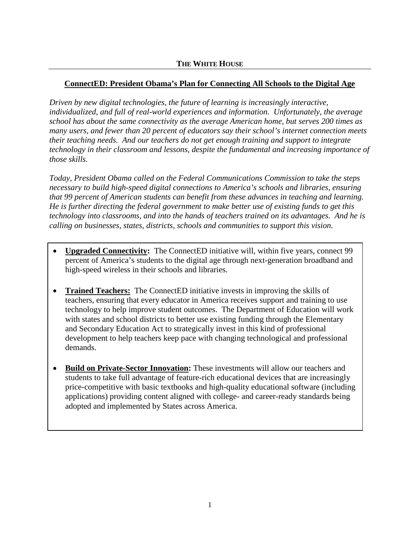# **ConnectED: President Obama's Plan for Connecting All Schools to the Digital Age**

*Driven by new digital technologies, the future of learning is increasingly interactive, individualized, and full of real-world experiences and information. Unfortunately, the average school has about the same connectivity as the average American home, but serves 200 times as many users, and fewer than 20 percent of educators say their school's internet connection meets their teaching needs. And our teachers do not get enough training and support to integrate technology in their classroom and lessons, despite the fundamental and increasing importance of those skills.* 

*Today, President Obama called on the Federal Communications Commission to take the steps necessary to build high-speed digital connections to America's schools and libraries, ensuring that 99 percent of American students can benefit from these advances in teaching and learning. He is further directing the federal government to make better use of existing funds to get this technology into classrooms, and into the hands of teachers trained on its advantages. And he is calling on businesses, states, districts, schools and communities to support this vision.*

- **Upgraded Connectivity:** The ConnectED initiative will, within five years, connect 99 percent of America's students to the digital age through next-generation broadband and high-speed wireless in their schools and libraries.
- **Trained Teachers:** The ConnectED initiative invests in improving the skills of teachers, ensuring that every educator in America receives support and training to use technology to help improve student outcomes. The Department of Education will work with states and school districts to better use existing funding through the Elementary and Secondary Education Act to strategically invest in this kind of professional development to help teachers keep pace with changing technological and professional demands.
- **Build on Private-Sector Innovation:** These investments will allow our teachers and students to take full advantage of feature-rich educational devices that are increasingly price-competitive with basic textbooks and high-quality educational software (including applications) providing content aligned with college- and career-ready standards being adopted and implemented by States across America.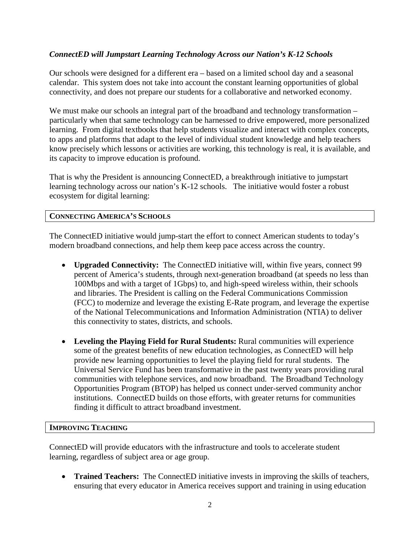## *ConnectED will Jumpstart Learning Technology Across our Nation's K-12 Schools*

Our schools were designed for a different era – based on a limited school day and a seasonal calendar. This system does not take into account the constant learning opportunities of global connectivity, and does not prepare our students for a collaborative and networked economy.

We must make our schools an integral part of the broadband and technology transformation – particularly when that same technology can be harnessed to drive empowered, more personalized learning. From digital textbooks that help students visualize and interact with complex concepts, to apps and platforms that adapt to the level of individual student knowledge and help teachers know precisely which lessons or activities are working, this technology is real, it is available, and its capacity to improve education is profound.

That is why the President is announcing ConnectED, a breakthrough initiative to jumpstart learning technology across our nation's K-12 schools. The initiative would foster a robust ecosystem for digital learning:

## **CONNECTING AMERICA'S SCHOOLS**

The ConnectED initiative would jump-start the effort to connect American students to today's modern broadband connections, and help them keep pace access across the country.

- **Upgraded Connectivity:** The ConnectED initiative will, within five years, connect 99 percent of America's students, through next-generation broadband (at speeds no less than 100Mbps and with a target of 1Gbps) to, and high-speed wireless within, their schools and libraries. The President is calling on the Federal Communications Commission (FCC) to modernize and leverage the existing E-Rate program, and leverage the expertise of the National Telecommunications and Information Administration (NTIA) to deliver this connectivity to states, districts, and schools.
- **Leveling the Playing Field for Rural Students:** Rural communities will experience some of the greatest benefits of new education technologies, as ConnectED will help provide new learning opportunities to level the playing field for rural students. The Universal Service Fund has been transformative in the past twenty years providing rural communities with telephone services, and now broadband. The Broadband Technology Opportunities Program (BTOP) has helped us connect under-served community anchor institutions. ConnectED builds on those efforts, with greater returns for communities finding it difficult to attract broadband investment.

## **IMPROVING TEACHING**

ConnectED will provide educators with the infrastructure and tools to accelerate student learning, regardless of subject area or age group.

• **Trained Teachers:** The ConnectED initiative invests in improving the skills of teachers, ensuring that every educator in America receives support and training in using education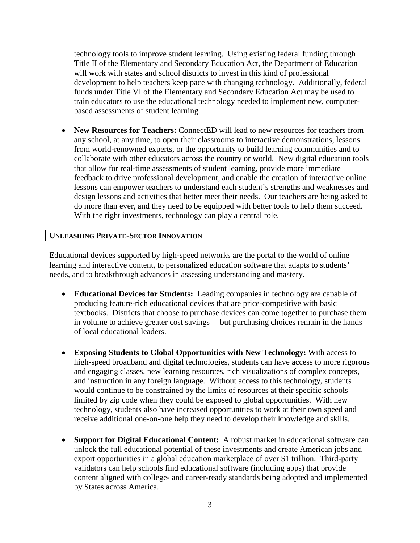technology tools to improve student learning. Using existing federal funding through Title II of the Elementary and Secondary Education Act, the Department of Education will work with states and school districts to invest in this kind of professional development to help teachers keep pace with changing technology. Additionally, federal funds under Title VI of the Elementary and Secondary Education Act may be used to train educators to use the educational technology needed to implement new, computerbased assessments of student learning.

• **New Resources for Teachers:** ConnectED will lead to new resources for teachers from any school, at any time, to open their classrooms to interactive demonstrations, lessons from world-renowned experts, or the opportunity to build learning communities and to collaborate with other educators across the country or world. New digital education tools that allow for real-time assessments of student learning, provide more immediate feedback to drive professional development, and enable the creation of interactive online lessons can empower teachers to understand each student's strengths and weaknesses and design lessons and activities that better meet their needs. Our teachers are being asked to do more than ever, and they need to be equipped with better tools to help them succeed. With the right investments, technology can play a central role.

## **UNLEASHING PRIVATE-SECTOR INNOVATION**

Educational devices supported by high-speed networks are the portal to the world of online learning and interactive content, to personalized education software that adapts to students' needs, and to breakthrough advances in assessing understanding and mastery.

- **Educational Devices for Students:** Leading companies in technology are capable of producing feature-rich educational devices that are price-competitive with basic textbooks. Districts that choose to purchase devices can come together to purchase them in volume to achieve greater cost savings— but purchasing choices remain in the hands of local educational leaders.
- **Exposing Students to Global Opportunities with New Technology:** With access to high-speed broadband and digital technologies, students can have access to more rigorous and engaging classes, new learning resources, rich visualizations of complex concepts, and instruction in any foreign language. Without access to this technology, students would continue to be constrained by the limits of resources at their specific schools – limited by zip code when they could be exposed to global opportunities. With new technology, students also have increased opportunities to work at their own speed and receive additional one-on-one help they need to develop their knowledge and skills.
- **Support for Digital Educational Content:** A robust market in educational software can unlock the full educational potential of these investments and create American jobs and export opportunities in a global education marketplace of over \$1 trillion. Third-party validators can help schools find educational software (including apps) that provide content aligned with college- and career-ready standards being adopted and implemented by States across America.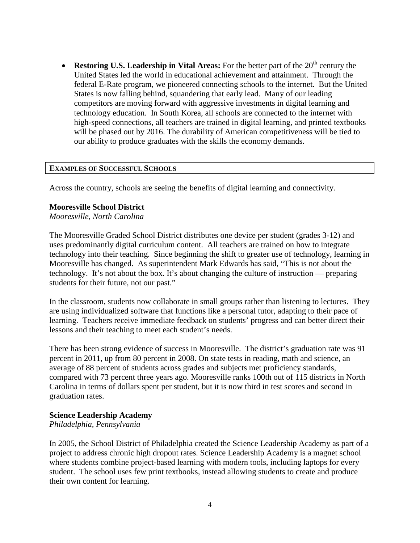• **Restoring U.S. Leadership in Vital Areas:** For the better part of the 20<sup>th</sup> century the United States led the world in educational achievement and attainment. Through the federal E-Rate program, we pioneered connecting schools to the internet. But the United States is now falling behind, squandering that early lead. Many of our leading competitors are moving forward with aggressive investments in digital learning and technology education. In South Korea, all schools are connected to the internet with high-speed connections, all teachers are trained in digital learning, and printed textbooks will be phased out by 2016. The durability of American competitiveness will be tied to our ability to produce graduates with the skills the economy demands.

#### **EXAMPLES OF SUCCESSFUL SCHOOLS**

Across the country, schools are seeing the benefits of digital learning and connectivity.

#### **Mooresville School District**

*Mooresville, North Carolina*

The Mooresville Graded School District distributes one device per student (grades 3-12) and uses predominantly digital curriculum content. All teachers are trained on how to integrate technology into their teaching. Since beginning the shift to greater use of technology, learning in Mooresville has changed. As superintendent Mark Edwards has said, "This is not about the technology. It's not about the box. It's about changing the culture of instruction — preparing students for their future, not our past."

In the classroom, students now collaborate in small groups rather than listening to lectures. They are using individualized software that functions like a personal tutor, adapting to their pace of learning. Teachers receive immediate feedback on students' progress and can better direct their lessons and their teaching to meet each student's needs.

There has been strong evidence of success in Mooresville. The district's graduation rate was 91 percent in 2011, up from 80 percent in 2008. On state tests in reading, math and science, an average of 88 percent of students across grades and subjects met proficiency standards, compared with 73 percent three years ago. Mooresville ranks 100th out of 115 districts in North Carolina in terms of dollars spent per student, but it is now third in test scores and second in graduation rates.

## **Science Leadership Academy**

*Philadelphia, Pennsylvania*

In 2005, the School District of Philadelphia created the Science Leadership Academy as part of a project to address chronic high dropout rates. Science Leadership Academy is a magnet school where students combine project-based learning with modern tools, including laptops for every student. The school uses few print textbooks, instead allowing students to create and produce their own content for learning.